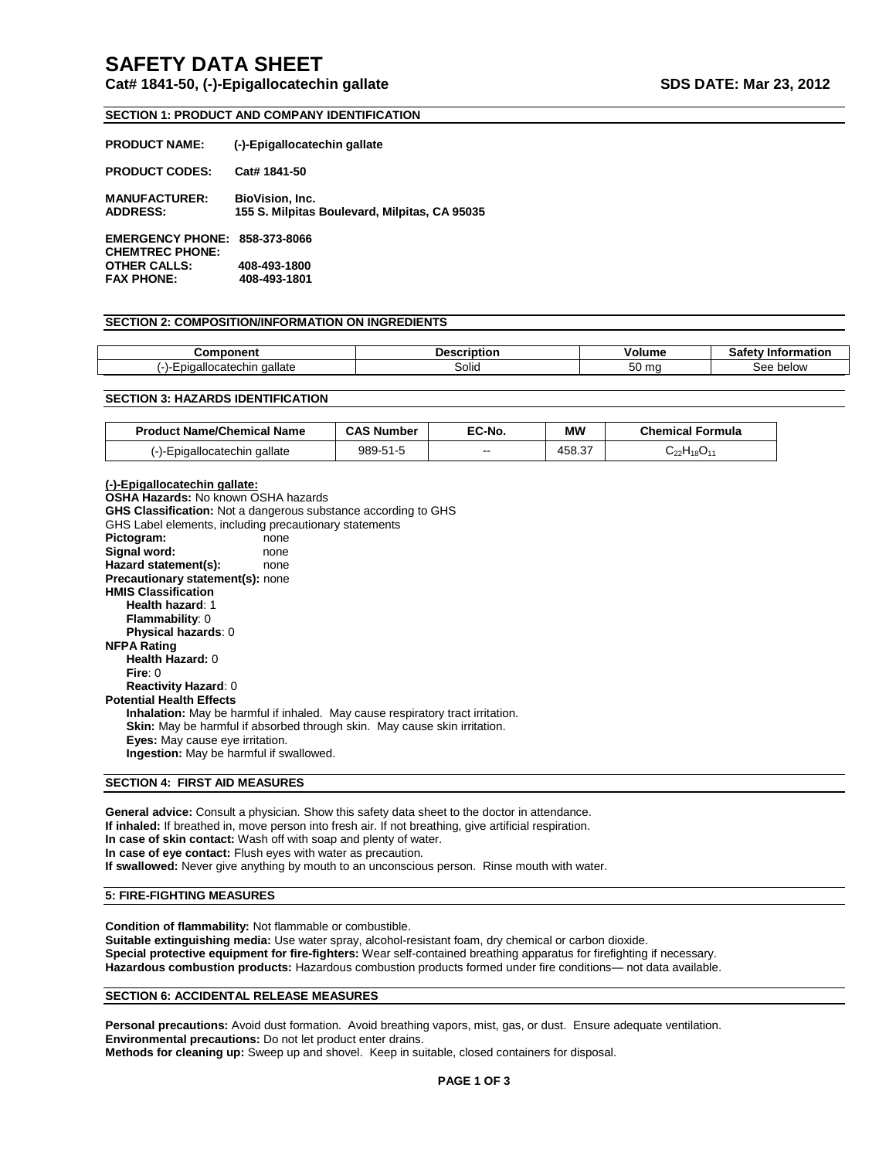# **SAFETY DATA SHEET**

# **Cat# 1841-50, (-)-Epigallocatechin gallate SDS DATE: Mar 23, 2012**

# **SECTION 1: PRODUCT AND COMPANY IDENTIFICATION**

| <b>PRODUCT NAME:</b>                              | (-)-Epigallocatechin gallate                                            |
|---------------------------------------------------|-------------------------------------------------------------------------|
| <b>PRODUCT CODES:</b>                             | Cat# 1841-50                                                            |
| <b>MANUFACTURER:</b><br><b>ADDRESS:</b>           | <b>BioVision, Inc.</b><br>155 S. Milpitas Boulevard, Milpitas, CA 95035 |
| <b>EMERGENCY PHONE:</b><br><b>CHEMTREC PHONE:</b> | 858-373-8066                                                            |
| <b>OTHER CALLS:</b>                               | 408-493-1800                                                            |
| <b>FAX PHONE:</b>                                 | 408-493-1801                                                            |

# **SECTION 2: COMPOSITION/INFORMATION ON INGREDIENTS**

|                            | -----<br>----- |                 |                 |
|----------------------------|----------------|-----------------|-----------------|
| ∘ gallate<br>atecni<br>,,, | Solid          | mc<br>◡◡<br>. . | $\sim$<br>below |

# **SECTION 3: HAZARDS IDENTIFICATION**

| <b>Product Name/Chemical Name</b> | <b>CAS Number</b> | EC-No. | МW     | <b>Chemical Formula</b> |
|-----------------------------------|-------------------|--------|--------|-------------------------|
| (-)-Epigallocatechin gallate      | 989-51-5          | --     | 458.37 | $C_{22}H_{18}O_{11}$    |

**(-)-Epigallocatechin gallate: OSHA Hazards:** No known OSHA hazards **GHS Classification:** Not a dangerous substance according to GHS GHS Label elements, including precautionary statements<br>Pictogram: none **Pictogram:** Signal word: none **Hazard statement(s):** none **Precautionary statement(s):** none **HMIS Classification Health hazard**: 1 **Flammability**: 0 **Physical hazards**: 0 **NFPA Rating Health Hazard:** 0 **Fire**: 0 **Reactivity Hazard**: 0 **Potential Health Effects Inhalation:** May be harmful if inhaled. May cause respiratory tract irritation. **Skin:** May be harmful if absorbed through skin. May cause skin irritation. **Eyes:** May cause eye irritation. **Ingestion:** May be harmful if swallowed.

# **SECTION 4: FIRST AID MEASURES**

**General advice:** Consult a physician. Show this safety data sheet to the doctor in attendance. **If inhaled:** If breathed in, move person into fresh air. If not breathing, give artificial respiration. **In case of skin contact:** Wash off with soap and plenty of water. **In case of eye contact:** Flush eyes with water as precaution. **If swallowed:** Never give anything by mouth to an unconscious person. Rinse mouth with water.

# **5: FIRE-FIGHTING MEASURES**

**Condition of flammability:** Not flammable or combustible. **Suitable extinguishing media:** Use water spray, alcohol-resistant foam, dry chemical or carbon dioxide. **Special protective equipment for fire-fighters:** Wear self-contained breathing apparatus for firefighting if necessary. **Hazardous combustion products:** Hazardous combustion products formed under fire conditions— not data available.

#### **SECTION 6: ACCIDENTAL RELEASE MEASURES**

**Personal precautions:** Avoid dust formation. Avoid breathing vapors, mist, gas, or dust. Ensure adequate ventilation. **Environmental precautions:** Do not let product enter drains. **Methods for cleaning up:** Sweep up and shovel. Keep in suitable, closed containers for disposal.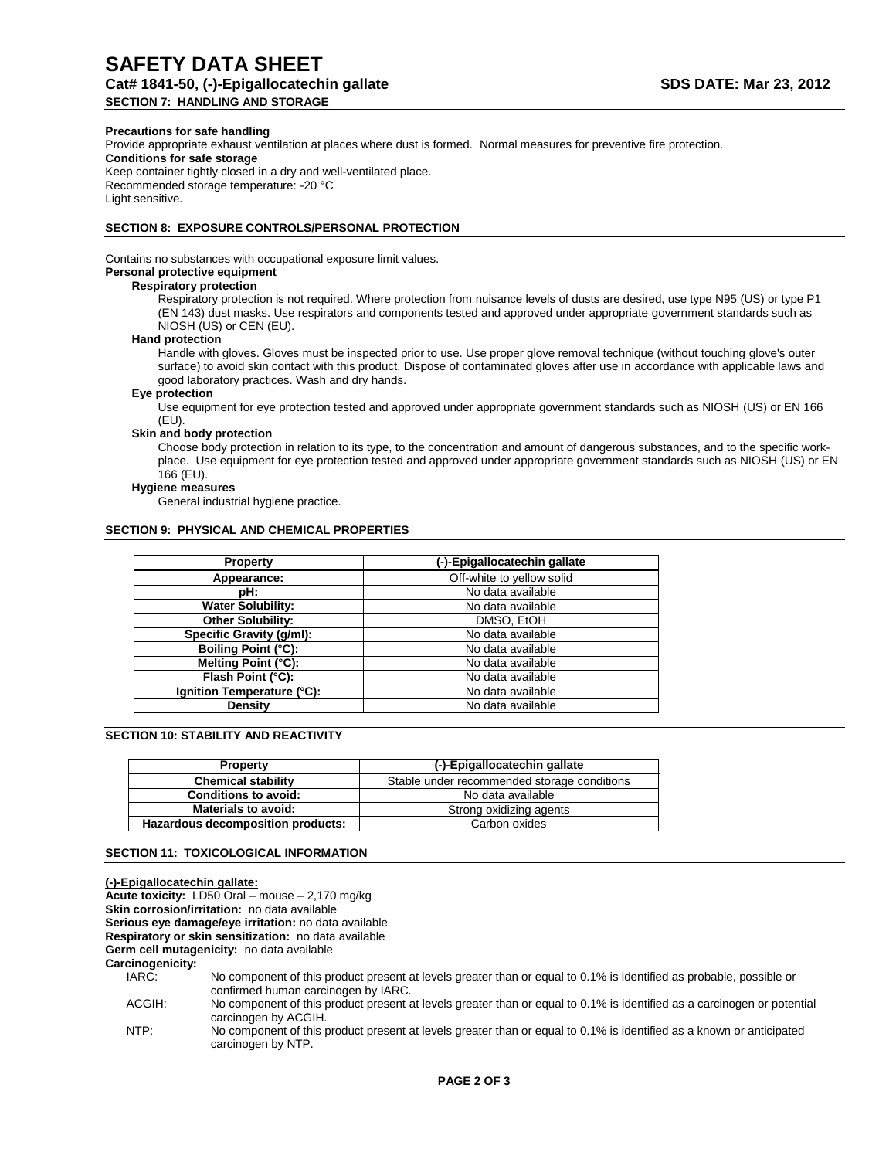# **Precautions for safe handling**

Provide appropriate exhaust ventilation at places where dust is formed. Normal measures for preventive fire protection. **Conditions for safe storage** Keep container tightly closed in a dry and well-ventilated place. Recommended storage temperature: -20 °C Light sensitive.

# **SECTION 8: EXPOSURE CONTROLS/PERSONAL PROTECTION**

Contains no substances with occupational exposure limit values. **Personal protective equipment**

#### **Respiratory protection**

Respiratory protection is not required. Where protection from nuisance levels of dusts are desired, use type N95 (US) or type P1 (EN 143) dust masks. Use respirators and components tested and approved under appropriate government standards such as NIOSH (US) or CEN (EU).

#### **Hand protection**

Handle with gloves. Gloves must be inspected prior to use. Use proper glove removal technique (without touching glove's outer surface) to avoid skin contact with this product. Dispose of contaminated gloves after use in accordance with applicable laws and good laboratory practices. Wash and dry hands.

# **Eye protection**

Use equipment for eye protection tested and approved under appropriate government standards such as NIOSH (US) or EN 166 (EU).

# **Skin and body protection**

Choose body protection in relation to its type, to the concentration and amount of dangerous substances, and to the specific workplace. Use equipment for eye protection tested and approved under appropriate government standards such as NIOSH (US) or EN 166 (EU).

#### **Hygiene measures**

General industrial hygiene practice.

# **SECTION 9: PHYSICAL AND CHEMICAL PROPERTIES**

| <b>Property</b>            | (-)-Epigallocatechin gallate |
|----------------------------|------------------------------|
| Appearance:                | Off-white to yellow solid    |
| pH:                        | No data available            |
| <b>Water Solubility:</b>   | No data available            |
| <b>Other Solubility:</b>   | DMSO, EtOH                   |
| Specific Gravity (g/ml):   | No data available            |
| Boiling Point (°C):        | No data available            |
| Melting Point (°C):        | No data available            |
| Flash Point (°C):          | No data available            |
| Ignition Temperature (°C): | No data available            |
| Density                    | No data available            |

# **SECTION 10: STABILITY AND REACTIVITY**

| <b>Property</b>                   | (-)-Epigallocatechin gallate                |
|-----------------------------------|---------------------------------------------|
| <b>Chemical stability</b>         | Stable under recommended storage conditions |
| <b>Conditions to avoid:</b>       | No data available                           |
| <b>Materials to avoid:</b>        | Strong oxidizing agents                     |
| Hazardous decomposition products: | Carbon oxides                               |

#### **SECTION 11: TOXICOLOGICAL INFORMATION**

| (-)-Epigallocatechin gallate: |                                                                                                                                                            |
|-------------------------------|------------------------------------------------------------------------------------------------------------------------------------------------------------|
|                               | Acute toxicity: LD50 Oral – mouse – 2,170 mg/kg                                                                                                            |
|                               | <b>Skin corrosion/irritation:</b> no data available                                                                                                        |
|                               | Serious eye damage/eye irritation: no data available                                                                                                       |
|                               | Respiratory or skin sensitization: no data available                                                                                                       |
|                               | Germ cell mutagenicity: no data available                                                                                                                  |
| Carcinogenicity:              |                                                                                                                                                            |
| IARC:                         | No component of this product present at levels greater than or equal to 0.1% is identified as probable, possible or<br>confirmed human carcinogen by IARC. |
| ACGIH:                        | No component of this product present at levels greater than or equal to 0.1% is identified as a carcinogen or potential<br>carcinogen by ACGIH.            |
| NTP:                          | No component of this product present at levels greater than or equal to 0.1% is identified as a known or anticipated<br>carcinogen by NTP.                 |